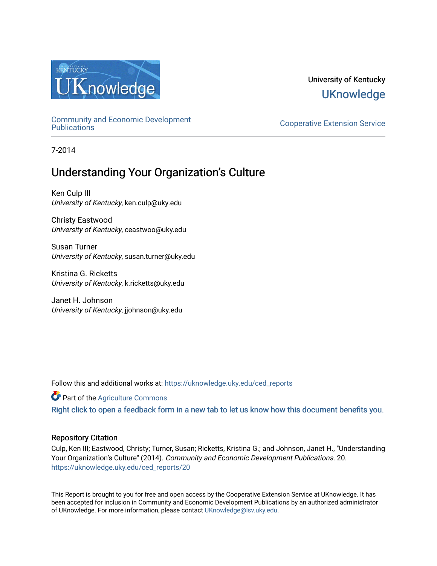

# University of Kentucky **UKnowledge**

[Community and Economic Development](https://uknowledge.uky.edu/ced_reports) 

**Cooperative Extension Service** 

7-2014

# Understanding Your Organization's Culture

Ken Culp III University of Kentucky, ken.culp@uky.edu

Christy Eastwood University of Kentucky, ceastwoo@uky.edu

Susan Turner University of Kentucky, susan.turner@uky.edu

Kristina G. Ricketts University of Kentucky, k.ricketts@uky.edu

Janet H. Johnson University of Kentucky, jjohnson@uky.edu

Follow this and additional works at: [https://uknowledge.uky.edu/ced\\_reports](https://uknowledge.uky.edu/ced_reports?utm_source=uknowledge.uky.edu%2Fced_reports%2F20&utm_medium=PDF&utm_campaign=PDFCoverPages)

**C** Part of the [Agriculture Commons](http://network.bepress.com/hgg/discipline/1076?utm_source=uknowledge.uky.edu%2Fced_reports%2F20&utm_medium=PDF&utm_campaign=PDFCoverPages)

[Right click to open a feedback form in a new tab to let us know how this document benefits you.](https://uky.az1.qualtrics.com/jfe/form/SV_9mq8fx2GnONRfz7)

#### Repository Citation

Culp, Ken III; Eastwood, Christy; Turner, Susan; Ricketts, Kristina G.; and Johnson, Janet H., "Understanding Your Organization's Culture" (2014). Community and Economic Development Publications. 20. [https://uknowledge.uky.edu/ced\\_reports/20](https://uknowledge.uky.edu/ced_reports/20?utm_source=uknowledge.uky.edu%2Fced_reports%2F20&utm_medium=PDF&utm_campaign=PDFCoverPages) 

This Report is brought to you for free and open access by the Cooperative Extension Service at UKnowledge. It has been accepted for inclusion in Community and Economic Development Publications by an authorized administrator of UKnowledge. For more information, please contact [UKnowledge@lsv.uky.edu.](mailto:UKnowledge@lsv.uky.edu)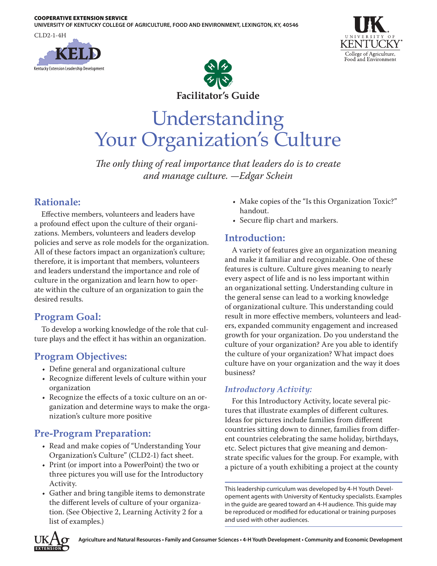#### COOPERATIVE EXTENSION SERVICE

**UNIVERSITY OF KENTUCKY COLLEGE OF AGRICULTURE, FOOD AND ENVIRONMENT, LEXINGTON, KY, 40546**

CLD2-1-4H







# Understanding Your Organization's Culture

*The only thing of real importance that leaders do is to create and manage culture. —Edgar Schein*

## **Rationale:**

Effective members, volunteers and leaders have a profound effect upon the culture of their organizations. Members, volunteers and leaders develop policies and serve as role models for the organization. All of these factors impact an organization's culture; therefore, it is important that members, volunteers and leaders understand the importance and role of culture in the organization and learn how to operate within the culture of an organization to gain the desired results.

# **Program Goal:**

To develop a working knowledge of the role that culture plays and the effect it has within an organization.

## **Program Objectives:**

- • Define general and organizational culture
- • Recognize different levels of culture within your organization
- Recognize the effects of a toxic culture on an organization and determine ways to make the organization's culture more positive

# **Pre-Program Preparation:**

- • Read and make copies of "Understanding Your Organization's Culture" (CLD2-1) fact sheet.
- • Print (or import into a PowerPoint) the two or three pictures you will use for the Introductory Activity.
- Gather and bring tangible items to demonstrate the different levels of culture of your organization. (See Objective 2, Learning Activity 2 for a list of examples.)
- Make copies of the "Is this Organization Toxic?" handout.
- • Secure flip chart and markers.

#### **Introduction:**

A variety of features give an organization meaning and make it familiar and recognizable. One of these features is culture. Culture gives meaning to nearly every aspect of life and is no less important within an organizational setting. Understanding culture in the general sense can lead to a working knowledge of organizational culture. This understanding could result in more effective members, volunteers and leaders, expanded community engagement and increased growth for your organization. Do you understand the culture of your organization? Are you able to identify the culture of your organization? What impact does culture have on your organization and the way it does business?

#### *Introductory Activity:*

For this Introductory Activity, locate several pictures that illustrate examples of different cultures. Ideas for pictures include families from different countries sitting down to dinner, families from different countries celebrating the same holiday, birthdays, etc. Select pictures that give meaning and demonstrate specific values for the group. For example, with a picture of a youth exhibiting a project at the county

This leadership curriculum was developed by 4-H Youth Developement agents with University of Kentucky specialists. Examples in the guide are geared toward an 4-H audience. This guide may be reproduced or modified for educational or training purposes and used with other audiences.

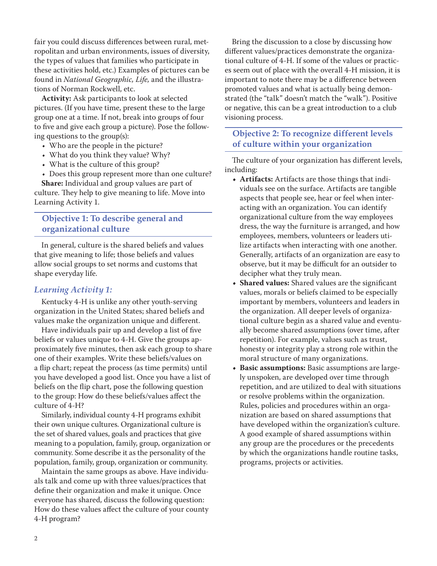fair you could discuss differences between rural, metropolitan and urban environments, issues of diversity, the types of values that families who participate in these activities hold, etc.) Examples of pictures can be found in *National Geographic, Life,* and the illustrations of Norman Rockwell, etc.

**Activity:** Ask participants to look at selected pictures. (If you have time, present these to the large group one at a time. If not, break into groups of four to five and give each group a picture). Pose the following questions to the group(s):

- Who are the people in the picture?
- What do you think they value? Why?
- What is the culture of this group?
- Does this group represent more than one culture?

**Share:** Individual and group values are part of culture. They help to give meaning to life. Move into Learning Activity 1.

#### **Objective 1: To describe general and organizational culture**

In general, culture is the shared beliefs and values that give meaning to life; those beliefs and values allow social groups to set norms and customs that shape everyday life.

#### *Learning Activity 1:*

Kentucky 4-H is unlike any other youth-serving organization in the United States; shared beliefs and values make the organization unique and different.

Have individuals pair up and develop a list of five beliefs or values unique to 4-H. Give the groups approximately five minutes, then ask each group to share one of their examples. Write these beliefs/values on a flip chart; repeat the process (as time permits) until you have developed a good list. Once you have a list of beliefs on the flip chart, pose the following question to the group: How do these beliefs/values affect the culture of 4-H?

Similarly, individual county 4-H programs exhibit their own unique cultures. Organizational culture is the set of shared values, goals and practices that give meaning to a population, family, group, organization or community. Some describe it as the personality of the population, family, group, organization or community.

Maintain the same groups as above. Have individuals talk and come up with three values/practices that define their organization and make it unique. Once everyone has shared, discuss the following question: How do these values affect the culture of your county 4-H program?

Bring the discussion to a close by discussing how different values/practices demonstrate the organizational culture of 4-H. If some of the values or practices seem out of place with the overall 4-H mission, it is important to note there may be a difference between promoted values and what is actually being demonstrated (the "talk" doesn't match the "walk"). Positive or negative, this can be a great introduction to a club visioning process.

#### **Objective 2: To recognize different levels of culture within your organization**

The culture of your organization has different levels, including:

- **• Artifacts:** Artifacts are those things that individuals see on the surface. Artifacts are tangible aspects that people see, hear or feel when interacting with an organization. You can identify organizational culture from the way employees dress, the way the furniture is arranged, and how employees, members, volunteers or leaders utilize artifacts when interacting with one another. Generally, artifacts of an organization are easy to observe, but it may be difficult for an outsider to decipher what they truly mean.
- **• Shared values:** Shared values are the significant values, morals or beliefs claimed to be especially important by members, volunteers and leaders in the organization. All deeper levels of organizational culture begin as a shared value and eventually become shared assumptions (over time, after repetition). For example, values such as trust, honesty or integrity play a strong role within the moral structure of many organizations.
- **• Basic assumptions:** Basic assumptions are largely unspoken, are developed over time through repetition, and are utilized to deal with situations or resolve problems within the organization. Rules, policies and procedures within an organization are based on shared assumptions that have developed within the organization's culture. A good example of shared assumptions within any group are the procedures or the precedents by which the organizations handle routine tasks, programs, projects or activities.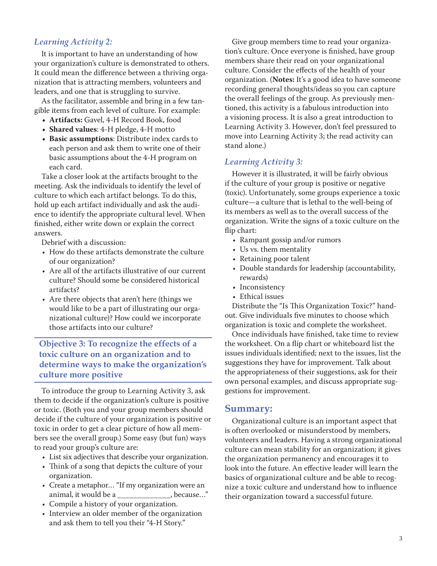#### *Learning Activity 2:*

It is important to have an understanding of how your organization's culture is demonstrated to others. It could mean the difference between a thriving organization that is attracting members, volunteers and leaders, and one that is struggling to survive.

As the facilitator, assemble and bring in a few tangible items from each level of culture. For example:

- **• Artifacts:** Gavel, 4-H Record Book, food
- **• Shared values**: 4-H pledge, 4-H motto
- **• Basic assumptions**: Distribute index cards to each person and ask them to write one of their basic assumptions about the 4-H program on each card.

Take a closer look at the artifacts brought to the meeting. Ask the individuals to identify the level of culture to which each artifact belongs. To do this, hold up each artifact individually and ask the audience to identify the appropriate cultural level. When finished, either write down or explain the correct answers.

Debrief with a discussion:

- How do these artifacts demonstrate the culture of our organization?
- Are all of the artifacts illustrative of our current culture? Should some be considered historical artifacts?
- Are there objects that aren't here (things we would like to be a part of illustrating our organizational culture)? How could we incorporate those artifacts into our culture?

#### **Objective 3: To recognize the effects of a toxic culture on an organization and to determine ways to make the organization's culture more positive**

To introduce the group to Learning Activity 3, ask them to decide if the organization's culture is positive or toxic. (Both you and your group members should decide if the culture of your organization is positive or toxic in order to get a clear picture of how all members see the overall group.) Some easy (but fun) ways to read your group's culture are:

- • List six adjectives that describe your organization.
- Think of a song that depicts the culture of your organization.
- Create a metaphor... "If my organization were an animal, it would be a \_\_\_\_\_\_\_\_\_\_\_\_\_, because…"
- Compile a history of your organization.
- Interview an older member of the organization and ask them to tell you their "4-H Story."

Give group members time to read your organization's culture. Once everyone is finished, have group members share their read on your organizational culture. Consider the effects of the health of your organization. (**Notes:** It's a good idea to have someone recording general thoughts/ideas so you can capture the overall feelings of the group. As previously mentioned, this activity is a fabulous introduction into a visioning process. It is also a great introduction to Learning Activity 3. However, don't feel pressured to move into Learning Activity 3; the read activity can stand alone.)

#### *Learning Activity 3:*

However it is illustrated, it will be fairly obvious if the culture of your group is positive or negative (toxic). Unfortunately, some groups experience a toxic culture—a culture that is lethal to the well-being of its members as well as to the overall success of the organization. Write the signs of a toxic culture on the flip chart:

- • Rampant gossip and/or rumors
- • Us vs. them mentality
- Retaining poor talent
- • Double standards for leadership (accountability, rewards)
- Inconsistency
- Ethical issues

Distribute the "Is This Organization Toxic?" handout. Give individuals five minutes to choose which organization is toxic and complete the worksheet.

Once individuals have finished, take time to review the worksheet. On a flip chart or whiteboard list the issues individuals identified; next to the issues, list the suggestions they have for improvement. Talk about the appropriateness of their suggestions, ask for their own personal examples, and discuss appropriate suggestions for improvement.

#### **Summary:**

Organizational culture is an important aspect that is often overlooked or misunderstood by members, volunteers and leaders. Having a strong organizational culture can mean stability for an organization; it gives the organization permanency and encourages it to look into the future. An effective leader will learn the basics of organizational culture and be able to recognize a toxic culture and understand how to influence their organization toward a successful future.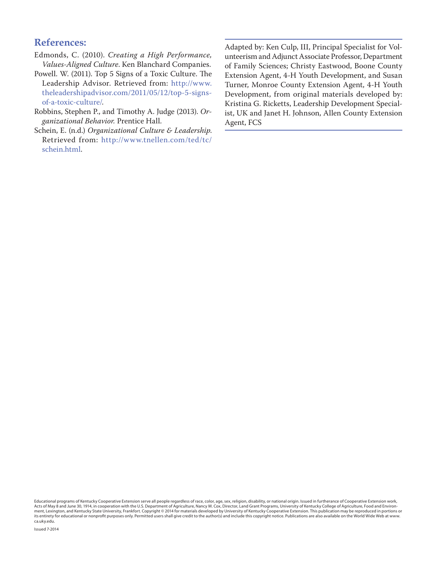#### **References:**

- Edmonds, C. (2010). *Creating a High Performance, Values-Aligned Culture*. Ken Blanchard Companies.
- Powell. W. (2011). Top 5 Signs of a Toxic Culture. The Leadership Advisor. Retrieved from: [http://www.](http://www.theleadershipadvisor.com/2011/05/12/top-5-signs-of-a-toxic-culture/) [theleadershipadvisor.com/2011/05/12/top-5-signs](http://www.theleadershipadvisor.com/2011/05/12/top-5-signs-of-a-toxic-culture/)[of-a-toxic-culture/.](http://www.theleadershipadvisor.com/2011/05/12/top-5-signs-of-a-toxic-culture/)
- Robbins, Stephen P., and Timothy A. Judge (2013). *Organizational Behavior.* Prentice Hall.
- Schein, E. (n.d.) *Organizational Culture & Leadership*. Retrieved from: [http://www.tnellen.com/ted/tc/](http://www.tnellen.com/ted/tc/schein.html) [schein.html](http://www.tnellen.com/ted/tc/schein.html).

Adapted by: Ken Culp, III, Principal Specialist for Volunteerism and Adjunct Associate Professor, Department of Family Sciences; Christy Eastwood, Boone County Extension Agent, 4-H Youth Development, and Susan Turner, Monroe County Extension Agent, 4-H Youth Development, from original materials developed by: Kristina G. Ricketts, Leadership Development Specialist, UK and Janet H. Johnson, Allen County Extension Agent, FCS

Educational programs of Kentucky Cooperative Extension serve all people regardless of race, color, age, sex, religion, disability, or national origin. Issued in furtherance of Cooperative Extension work,<br>Acts of May 8 and ment, Lexington, and Kentucky State University, Frankfort. Copyright © 2014 for materials developed by University of Kentucky Cooperative Extension. This publication may be reproduced in portions or its entirety for educational or nonprofit purposes only. Permitted users shall give credit to the author(s) and include this copyright notice. Publications are also available on the World Wide Web at www. ca.uky.edu.